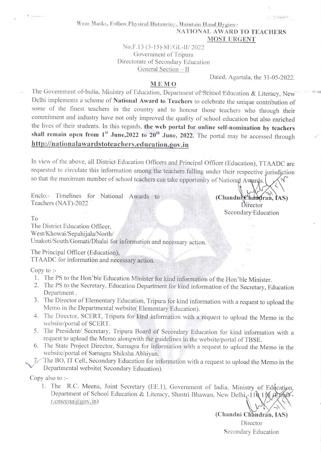Wear Masks, Follow Physical Distancing, Maintain Hand Hygiene

## NATIONAL AWARD TO TEACHERS **MOST URGENT**

No.F.13 (3-15)-SE/GL-II/2022 Government of Tripura Directorate of Secondary Education General Section - II

Dated, Agartala, the 31-05-2022.

## MEMO

The Government of India, Ministry of Education, Department of School Education & Literacy, New Delhi implements a scheme of National Award to Teachers to celebrate the unique contribution of some of the finest teachers in the country and to honour those teachers who through their commitment and industry have not only improved the quality of school education but also enriched the lives of their students. In this regards, the web portal for online self-nomination by teachers shall remain open from 1<sup>st</sup> June, 2022 to 20<sup>th</sup> June, 2022. The portal may be accessed through http://nationalawardstoteachers.education.gov.in

In view of the above, all District Education Officers and Principal Officer (Education), TTAADC are requested to circulate this information among the teachers falling under their respective jurisdiction so that the maximum number of school teachers can take opportunity of National Awards.

Enclo:- Timelines for National Awards to Teachers (NAT)-2022

(Chandnichandran, IAS) Director Secondary Education

Via.

To

The District Education Officer,

West/Khowai/Sepahijala/North/

Unakoti/South/Gomati/Dhalai for information and necessary action.

The Principal Officer (Education),

TTAADC for information and necessary action.

 $Copy to:$ 

- 1. The PS to the Hon'ble Education Minister for kind information of the Hon'ble Minister.
- 2. The PS to the Secretary, Education Department for kind information of the Secretary, Education Department.
- 3. The Director of Elementary Education, Tripura for kind information with a request to upload the Memo in the Departmental website(Elementary Education).
- 4. The Director, SCERT, Tripura for kind information with a request to upload the Memo in the website/portal of SCERT.
- 5. The President/ Secretary, Tripura Board of Secondary Education for kind information with a request to upload the Memo alongwith the guidelines in the website/portal of TBSE.
- 6. The State Project Director, Samagra for information with a request to upload the Memo in the website/portal of Samagra Shiksha Abhiyan.

The BO, IT Cell, Secondary Education for information with a request to upload the Memo in the  $7<$ Departmental website(Secondary Education).

Copy also to :-

1. The R.C. Meena, Joint Secretary (EE.1), Government of India, Ministry of Education, Department of School Education & Literacy, Shastri Bhawan, New Delhi, 110 116 (Ep Alle r.cmeena@gov.in)

> (Chandni Chandrán, IAS) Director Secondary Education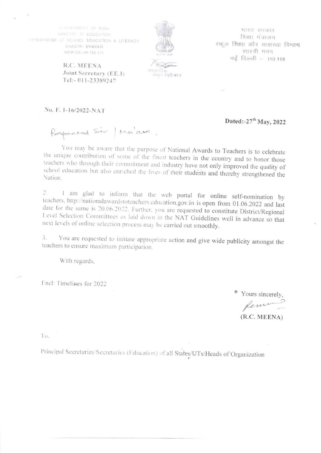GOVERNMENT OF INDIA MINISTRY OF EDUCATION DEPARTMENT OF SCHOOL EDUCATION & LITERACY SHASTRI BHAVAN NEW DELHI-110 115

भारत सरकार शिक्षा मंत्रालय स्कल शिक्षा और साक्षरता विभाग शास्त्री भवन नई दिल्ली -- 110 115

R.C. MEENA Joint Secretary (EE.1) Tel:-011-23389247

अमृत महोत्सव

No. F. 1-16/2022-NAT

Dated:-27<sup>th</sup> May, 2022

Respected Sir / Ma'am.

You may be aware that the purpose of National Awards to Teachers is to celebrate the unique contribution of some of the finest teachers in the country and to honor those teachers who through their commitment and industry have not only improved the quality of school education but also enriched the lives of their students and thereby strengthened the Nation.

1 am glad to inform that the web portal for online self-nomination by 2. teachers, http://nationalawardstoteachers.education.gov.in is open from 01.06.2022 and last date for the same is 20.06.2022. Further, you are requested to constitute District/Regional Level Selection Committees as laid down in the NAT Guidelines well in advance so that next levels of online selection process may be carried out smoothly,

You are requested to initiate appropriate action and give wide publicity amongst the 3. teachers to ensure maximum participation.

With regards.

Encl: Timelines for 2022

Yours sincerely.

 $(R.C. MEENA)$ 

To.

Principal Secretaries/Secretaries (Education) of all States/UTs/Heads of Organization